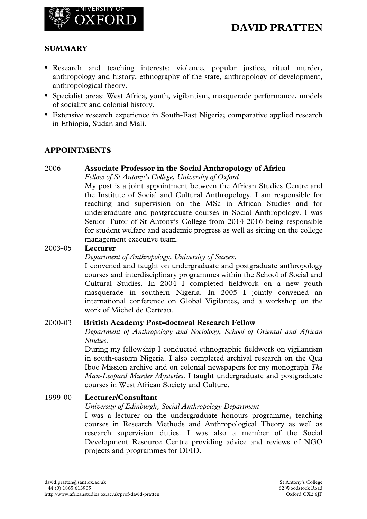

## **SUMMARY**

- **•** Research and teaching interests: violence, popular justice, ritual murder, anthropology and history, ethnography of the state, anthropology of development, anthropological theory.
- Specialist areas: West Africa, youth, vigilantism, masquerade performance, models of sociality and colonial history.
- Extensive research experience in South-East Nigeria; comparative applied research in Ethiopia, Sudan and Mali.

### **APPOINTMENTS**

### 2006 **Associate Professor in the Social Anthropology of Africa**

*Fellow of St Antony's College, University of Oxford*

My post is a joint appointment between the African Studies Centre and the Institute of Social and Cultural Anthropology. I am responsible for teaching and supervision on the MSc in African Studies and for undergraduate and postgraduate courses in Social Anthropology. I was Senior Tutor of St Antony's College from 2014-2016 being responsible for student welfare and academic progress as well as sitting on the college management executive team.

### 2003-05 **Lecturer**

*Department of Anthropology, University of Sussex.*

I convened and taught on undergraduate and postgraduate anthropology courses and interdisciplinary programmes within the School of Social and Cultural Studies. In 2004 I completed fieldwork on a new youth masquerade in southern Nigeria. In 2005 I jointly convened an international conference on Global Vigilantes, and a workshop on the work of Michel de Certeau.

### 2000-03 **British Academy Post-doctoral Research Fellow**

*Department of Anthropology and Sociology, School of Oriental and African Studies.*

During my fellowship I conducted ethnographic fieldwork on vigilantism in south-eastern Nigeria. I also completed archival research on the Qua Iboe Mission archive and on colonial newspapers for my monograph *The Man-Leopard Murder Mysteries*. I taught undergraduate and postgraduate courses in West African Society and Culture.

### 1999-00 **Lecturer/Consultant**

*University of Edinburgh, Social Anthropology Department*

I was a lecturer on the undergraduate honours programme, teaching courses in Research Methods and Anthropological Theory as well as research supervision duties. I was also a member of the Social Development Resource Centre providing advice and reviews of NGO projects and programmes for DFID.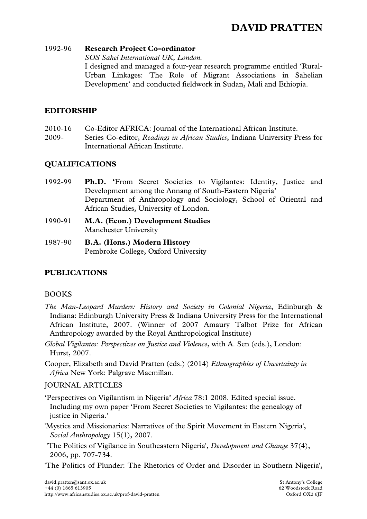### 1992-96 **Research Project Co-ordinator**

*SOS Sahel International UK, London.*

I designed and managed a four-year research programme entitled 'Rural-Urban Linkages: The Role of Migrant Associations in Sahelian Development' and conducted fieldwork in Sudan, Mali and Ethiopia.

## **EDITORSHIP**

2010-16 Co-Editor AFRICA: Journal of the International African Institute. 2009- Series Co-editor, *Readings in African Studies*, Indiana University Press for International African Institute.

## **QUALIFICATIONS**

- 1992-99 **Ph.D. '**From Secret Societies to Vigilantes: Identity, Justice and Development among the Annang of South-Eastern Nigeria' Department of Anthropology and Sociology, School of Oriental and African Studies, University of London.
- 1990-91 **M.A. (Econ.) Development Studies** Manchester University
- 1987-90 **B.A. (Hons.) Modern History** Pembroke College, Oxford University

## **PUBLICATIONS**

## BOOKS

- *The Man-Leopard Murders: History and Society in Colonial Nigeria*, Edinburgh & Indiana: Edinburgh University Press & Indiana University Press for the International African Institute, 2007. (Winner of 2007 Amaury Talbot Prize for African Anthropology awarded by the Royal Anthropological Institute)
- *Global Vigilantes: Perspectives on Justice and Violence*, with A. Sen (eds.), London: Hurst, 2007.
- Cooper, Elizabeth and David Pratten (eds.) (2014) *Ethnographies of Uncertainty in Africa* New York: Palgrave Macmillan.

## JOURNAL ARTICLES

- 'Perspectives on Vigilantism in Nigeria' *Africa* 78:1 2008. Edited special issue. Including my own paper 'From Secret Societies to Vigilantes: the genealogy of justice in Nigeria.'
- 'Mystics and Missionaries: Narratives of the Spirit Movement in Eastern Nigeria', *Social Anthropology* 15(1), 2007.
- 'The Politics of Vigilance in Southeastern Nigeria', *Development and Change* 37(4), 2006, pp. 707-734.
- 'The Politics of Plunder: The Rhetorics of Order and Disorder in Southern Nigeria',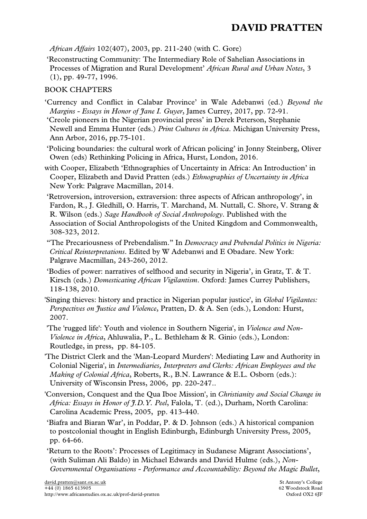*African Affairs* 102(407), 2003, pp. 211-240 (with C. Gore)

'Reconstructing Community: The Intermediary Role of Sahelian Associations in Processes of Migration and Rural Development' *African Rural and Urban Notes*, 3 (1), pp. 49-77, 1996.

### BOOK CHAPTERS

- 'Currency and Conflict in Calabar Province' in Wale Adebanwi (ed.) *Beyond the Margins - Essays in Honor of Jane I. Guyer*, James Currey, 2017, pp. 72-91.
- 'Creole pioneers in the Nigerian provincial press' in Derek Peterson, Stephanie Newell and Emma Hunter (eds.) *Print Cultures in Africa*. Michigan University Press, Ann Arbor, 2016, pp.75-101.

'Policing boundaries: the cultural work of African policing' in Jonny Steinberg, Oliver Owen (eds) Rethinking Policing in Africa, Hurst, London, 2016.

with Cooper, Elizabeth 'Ethnographies of Uncertainty in Africa: An Introduction' in Cooper, Elizabeth and David Pratten (eds.) *Ethnographies of Uncertainty in Africa* New York: Palgrave Macmillan, 2014.

- 'Retroversion, introversion, extraversion: three aspects of African anthropology', in Fardon, R., J. Gledhill, O. Harris, T. Marchand, M. Nuttall, C. Shore, V. Strang & R. Wilson (eds.) *Sage Handbook of Social Anthropology*. Published with the Association of Social Anthropologists of the United Kingdom and Commonwealth, 308-323, 2012.
- "The Precariousness of Prebendalism." In *Democracy and Prebendal Politics in Nigeria: Critical Reinterpretations*. Edited by W Adebanwi and E Obadare. New York: Palgrave Macmillan, 243-260, 2012.

'Bodies of power: narratives of selfhood and security in Nigeria', in Gratz, T. & T. Kirsch (eds.) *Domesticating African Vigilantism*. Oxford: James Currey Publishers, 118-138, 2010.

'Singing thieves: history and practice in Nigerian popular justice', in *Global Vigilantes: Perspectives on Justice and Violence*, Pratten, D. & A. Sen (eds.), London: Hurst, 2007.

'The 'rugged life': Youth and violence in Southern Nigeria', in *Violence and Non-Violence in Africa*, Ahluwalia, P., L. Bethleham & R. Ginio (eds.), London: Routledge, in press, pp. 84-105.

- 'The District Clerk and the 'Man-Leopard Murders': Mediating Law and Authority in Colonial Nigeria', in *Intermediaries, Interpreters and Clerks: African Employees and the Making of Colonial Africa*, Roberts, R., B.N. Lawrance & E.L. Osborn (eds.): University of Wisconsin Press, 2006, pp. 220-247..
- 'Conversion, Conquest and the Qua Iboe Mission', in *Christianity and Social Change in Africa: Essays in Honor of J.D.Y. Peel*, Falola, T. (ed.), Durham, North Carolina: Carolina Academic Press, 2005, pp. 413-440.
- 'Biafra and Biaran War', in Poddar, P. & D. Johnson (eds.) A historical companion to postcolonial thought in English Edinburgh, Edinburgh University Press, 2005, pp. 64-66.
- 'Return to the Roots': Processes of Legitimacy in Sudanese Migrant Associations', (with Suliman Ali Baldo) in Michael Edwards and David Hulme (eds.), *Non-Governmental Organisations - Performance and Accountability: Beyond the Magic Bullet*,